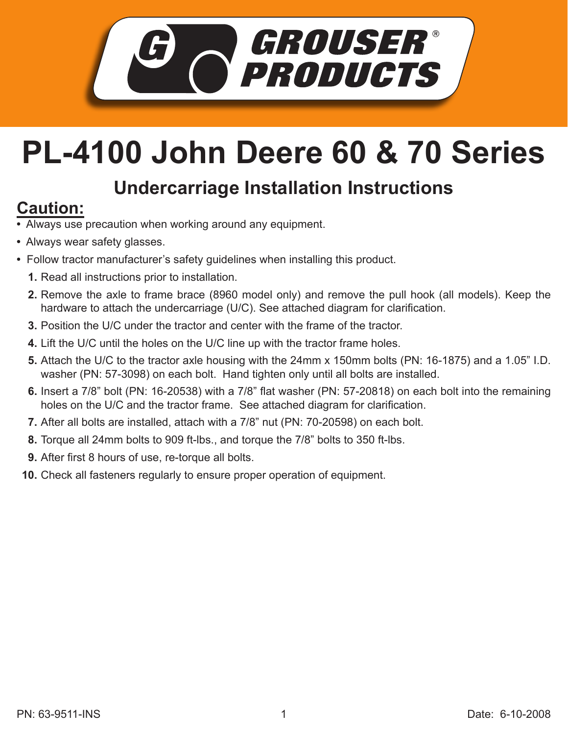

## **PL-4100 John Deere 60 & 70 Series**

## **Undercarriage Installation Instructions**

## **Caution:**

- Always use precaution when working around any equipment.
- Always wear safety glasses.
- Follow tractor manufacturer's safety guidelines when installing this product.
	- **1.** Read all instructions prior to installation.
	- **2.** Remove the axle to frame brace (8960 model only) and remove the pull hook (all models). Keep the hardware to attach the undercarriage (U/C). See attached diagram for clarification.
	- **3.** Position the U/C under the tractor and center with the frame of the tractor.
	- Lift the U/C until the holes on the U/C line up with the tractor frame holes. **4.**
	- **5.** Attach the U/C to the tractor axle housing with the 24mm x 150mm bolts (PN: 16-1875) and a 1.05" I.D. washer (PN: 57-3098) on each bolt. Hand tighten only until all bolts are installed.
	- **6.** Insert a 7/8" bolt (PN: 16-20538) with a 7/8" flat washer (PN: 57-20818) on each bolt into the remaining holes on the U/C and the tractor frame. See attached diagram for clarification.
	- **7.** After all bolts are installed, attach with a 7/8" nut (PN: 70-20598) on each bolt.
	- Torque all 24mm bolts to 909 ft-lbs., and torque the 7/8" bolts to 350 ft-lbs. **8.**
	- **9.** After first 8 hours of use, re-torque all bolts.
	- **10.** Check all fasteners regularly to ensure proper operation of equipment.